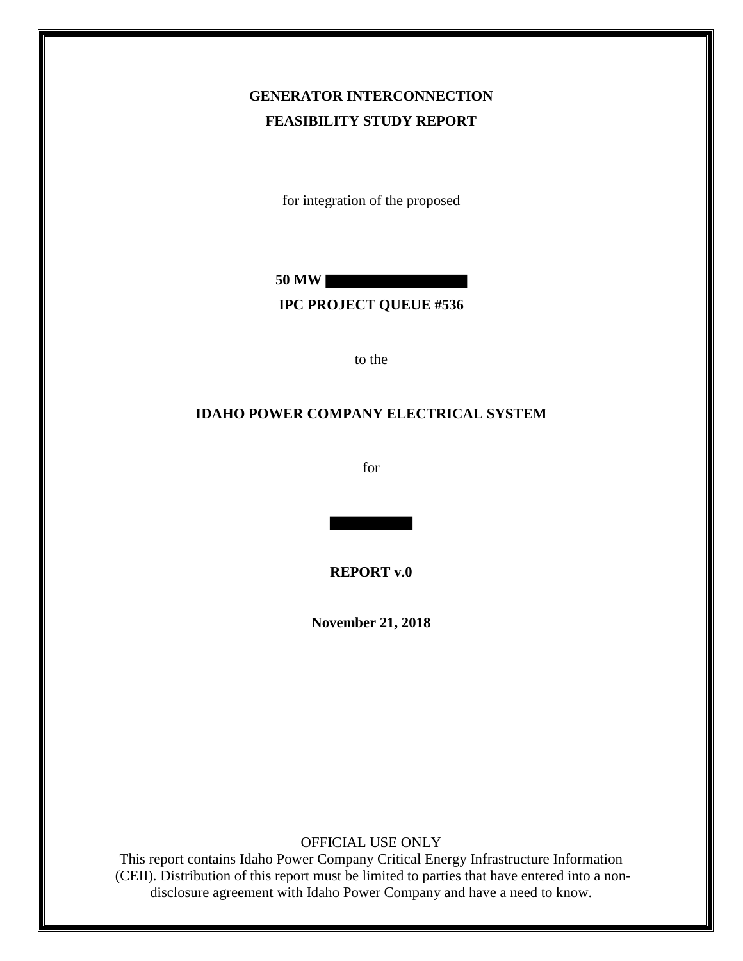## **GENERATOR INTERCONNECTION FEASIBILITY STUDY REPORT**

for integration of the proposed

**50 MW**

#### **IPC PROJECT QUEUE #536**

to the

#### **IDAHO POWER COMPANY ELECTRICAL SYSTEM**

for

**REPORT v.0**

**November 21, 2018**

OFFICIAL USE ONLY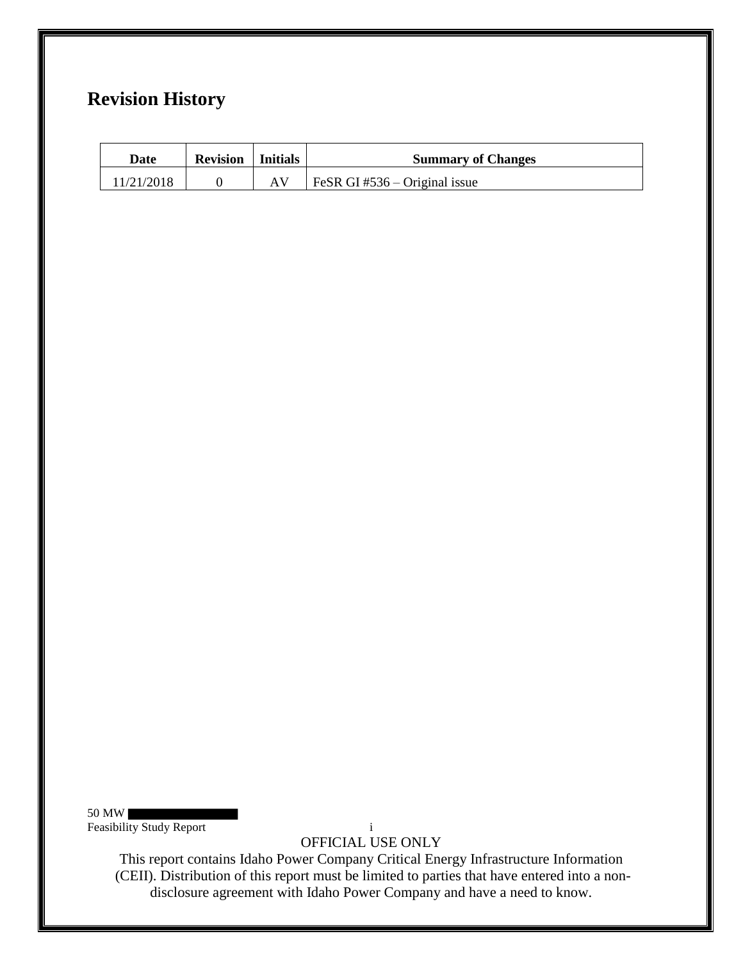## **Revision History**

| Date       | <b>Revision</b>   Initials | <b>Summary of Changes</b>     |
|------------|----------------------------|-------------------------------|
| 11/21/2018 |                            | FeSR GI #536 – Original issue |

50 MW Feasibility Study Report i

OFFICIAL USE ONLY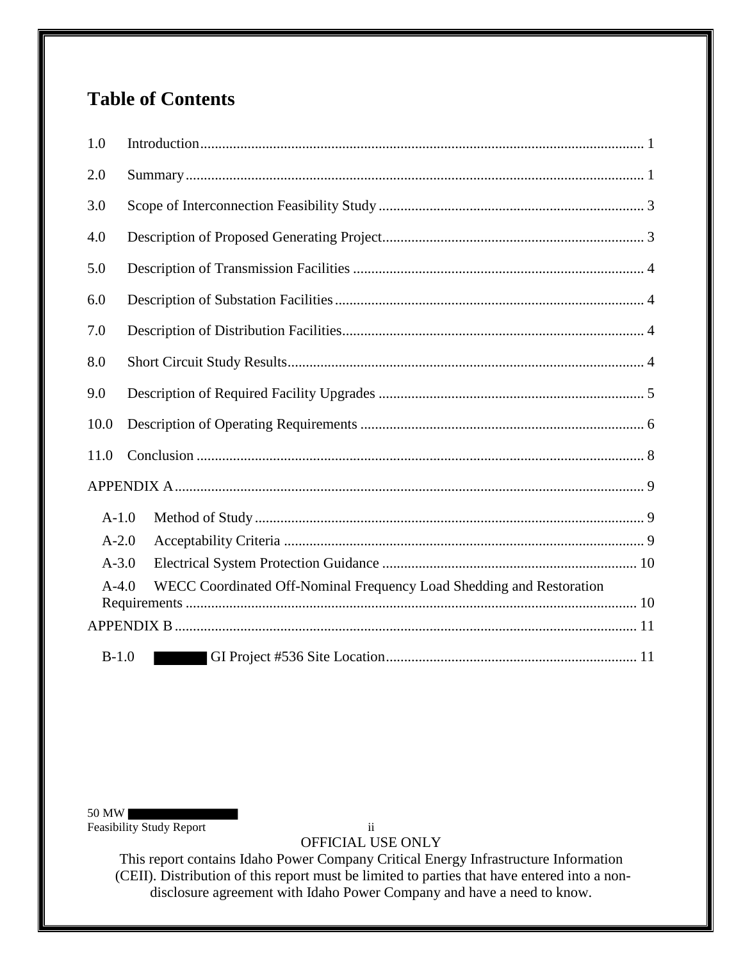# **Table of Contents**

| 1.0       |                                                                      |
|-----------|----------------------------------------------------------------------|
| 2.0       |                                                                      |
| 3.0       |                                                                      |
| 4.0       |                                                                      |
| 5.0       |                                                                      |
| 6.0       |                                                                      |
| 7.0       |                                                                      |
| 8.0       |                                                                      |
| 9.0       |                                                                      |
| 10.0      |                                                                      |
| 11.0      |                                                                      |
|           |                                                                      |
| $A-1.0$   |                                                                      |
| $A-2.0$   |                                                                      |
| $A - 3.0$ |                                                                      |
| $A-4.0$   | WECC Coordinated Off-Nominal Frequency Load Shedding and Restoration |
|           |                                                                      |
|           |                                                                      |
| $B-1.0$   |                                                                      |

50 MW

Feasibility Study Report ii

OFFICIAL USE ONLY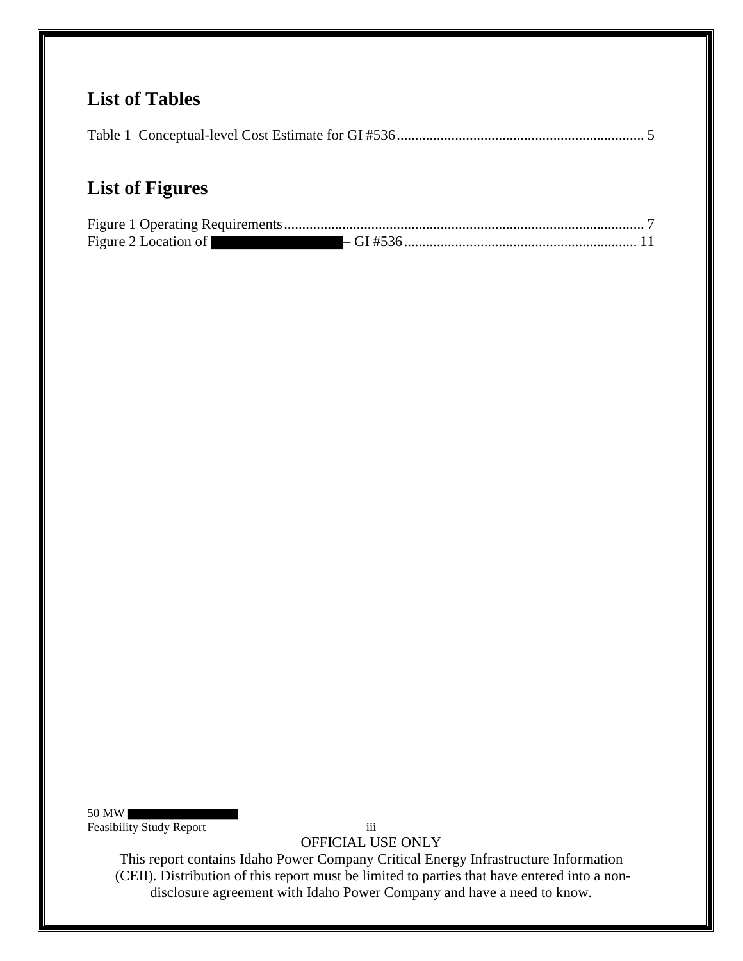## **List of Tables**

|--|--|--|

# **List of Figures**

| Figure 2 Location of |  |
|----------------------|--|

50 MW Feasibility Study Report iii

OFFICIAL USE ONLY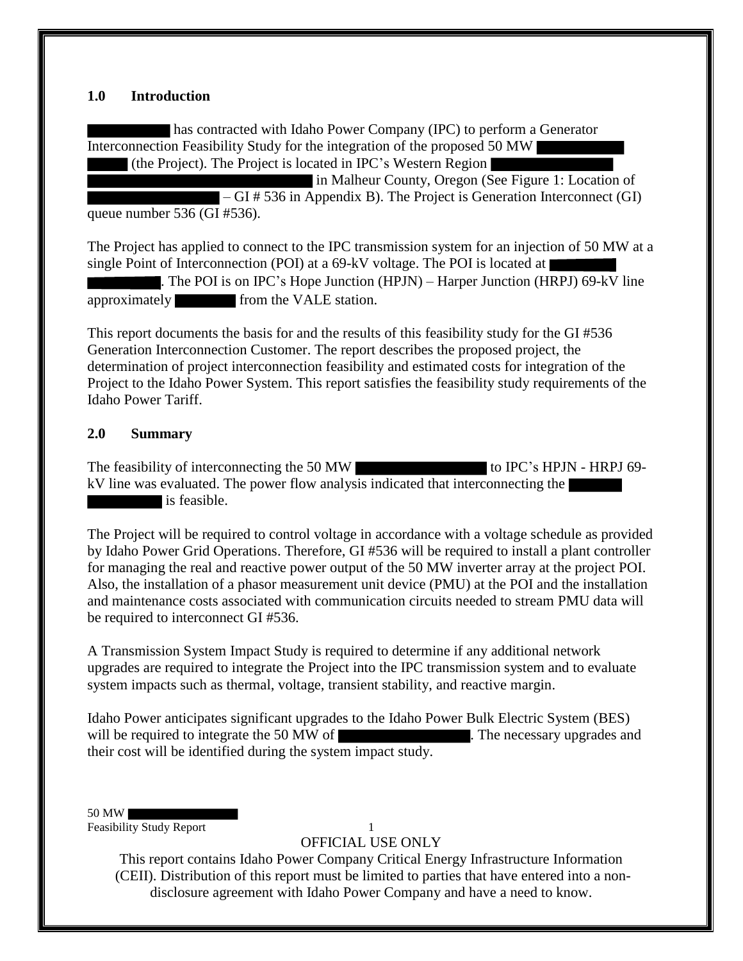#### **1.0 Introduction**

has contracted with Idaho Power Company (IPC) to perform a Generator Interconnection Feasibility Study for the integration of the proposed 50 MW (the Project). The Project is located in IPC's Western Region

in Malheur County, Oregon (See Figure 1: Location of – GI # 536 in Appendix B). The Project is Generation Interconnect (GI) queue number 536 (GI #536).

The Project has applied to connect to the IPC transmission system for an injection of 50 MW at a single Point of Interconnection (POI) at a 69-kV voltage. The POI is located at  $|$ 

. The POI is on IPC's Hope Junction (HPJN) – Harper Junction (HRPJ) 69-kV line approximately from the VALE station.

This report documents the basis for and the results of this feasibility study for the GI #536 Generation Interconnection Customer. The report describes the proposed project, the determination of project interconnection feasibility and estimated costs for integration of the Project to the Idaho Power System. This report satisfies the feasibility study requirements of the Idaho Power Tariff.

## **2.0 Summary**

The feasibility of interconnecting the 50 MW to IPC's HPJN - HRPJ 69kV line was evaluated. The power flow analysis indicated that interconnecting the is feasible.

The Project will be required to control voltage in accordance with a voltage schedule as provided by Idaho Power Grid Operations. Therefore, GI #536 will be required to install a plant controller for managing the real and reactive power output of the 50 MW inverter array at the project POI. Also, the installation of a phasor measurement unit device (PMU) at the POI and the installation and maintenance costs associated with communication circuits needed to stream PMU data will be required to interconnect GI #536.

A Transmission System Impact Study is required to determine if any additional network upgrades are required to integrate the Project into the IPC transmission system and to evaluate system impacts such as thermal, voltage, transient stability, and reactive margin.

Idaho Power anticipates significant upgrades to the Idaho Power Bulk Electric System (BES) will be required to integrate the 50 MW of . The necessary upgrades and their cost will be identified during the system impact study.

50 MW Feasibility Study Report 1

OFFICIAL USE ONLY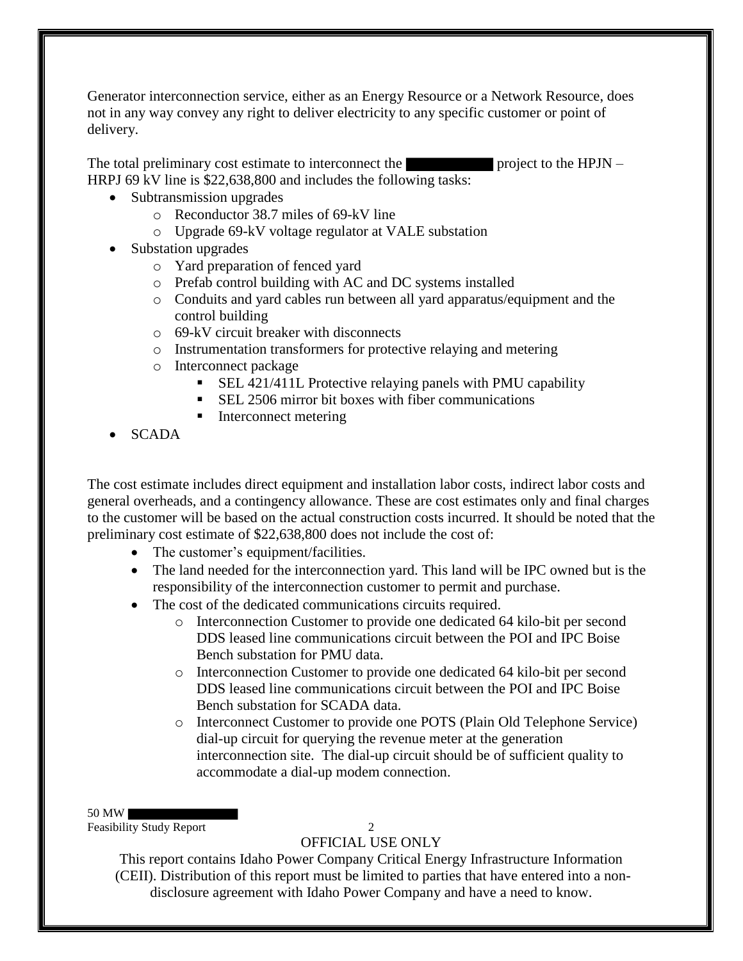Generator interconnection service, either as an Energy Resource or a Network Resource, does not in any way convey any right to deliver electricity to any specific customer or point of delivery.

The total preliminary cost estimate to interconnect the  $\blacksquare$  project to the HPJN – HRPJ 69 kV line is \$22,638,800 and includes the following tasks:

- Subtransmission upgrades
	- o Reconductor 38.7 miles of 69-kV line
	- o Upgrade 69-kV voltage regulator at VALE substation
- Substation upgrades
	- o Yard preparation of fenced yard
	- o Prefab control building with AC and DC systems installed
	- o Conduits and yard cables run between all yard apparatus/equipment and the control building
	- o 69-kV circuit breaker with disconnects
	- o Instrumentation transformers for protective relaying and metering
	- o Interconnect package
		- SEL 421/411L Protective relaying panels with PMU capability
		- SEL 2506 mirror bit boxes with fiber communications
		- Interconnect metering
- SCADA

The cost estimate includes direct equipment and installation labor costs, indirect labor costs and general overheads, and a contingency allowance. These are cost estimates only and final charges to the customer will be based on the actual construction costs incurred. It should be noted that the preliminary cost estimate of \$22,638,800 does not include the cost of:

- The customer's equipment/facilities.
- The land needed for the interconnection yard. This land will be IPC owned but is the responsibility of the interconnection customer to permit and purchase.
- The cost of the dedicated communications circuits required.
	- o Interconnection Customer to provide one dedicated 64 kilo-bit per second DDS leased line communications circuit between the POI and IPC Boise Bench substation for PMU data.
	- o Interconnection Customer to provide one dedicated 64 kilo-bit per second DDS leased line communications circuit between the POI and IPC Boise Bench substation for SCADA data.
	- o Interconnect Customer to provide one POTS (Plain Old Telephone Service) dial-up circuit for querying the revenue meter at the generation interconnection site. The dial-up circuit should be of sufficient quality to accommodate a dial-up modem connection.

#### 50 MW

Feasibility Study Report 2

## OFFICIAL USE ONLY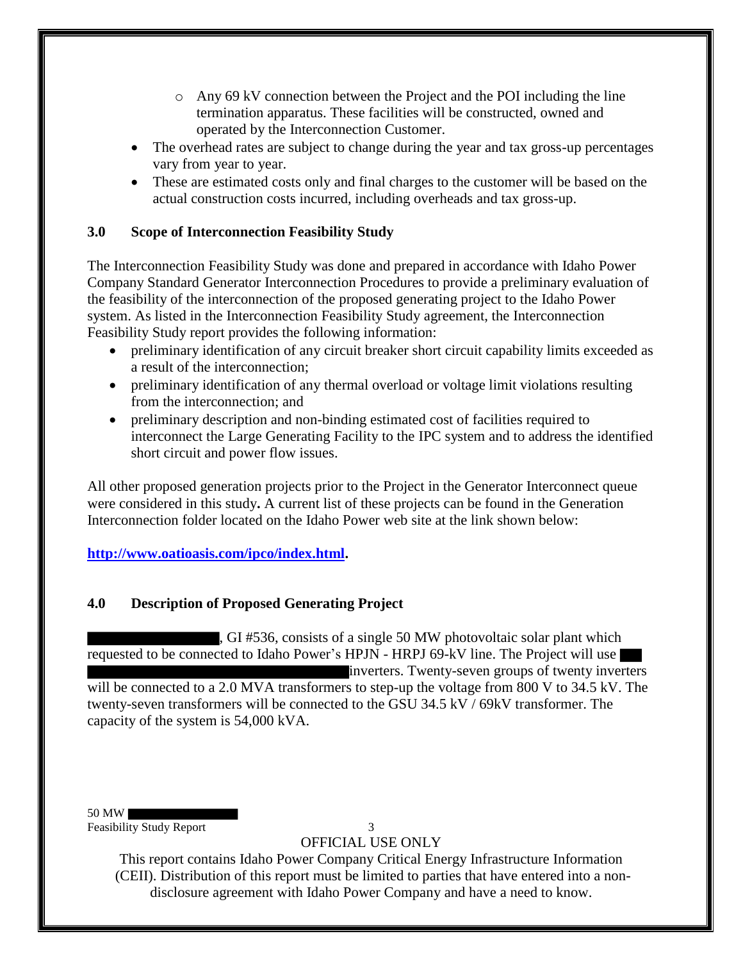- o Any 69 kV connection between the Project and the POI including the line termination apparatus. These facilities will be constructed, owned and operated by the Interconnection Customer.
- The overhead rates are subject to change during the year and tax gross-up percentages vary from year to year.
- These are estimated costs only and final charges to the customer will be based on the actual construction costs incurred, including overheads and tax gross-up.

## **3.0 Scope of Interconnection Feasibility Study**

The Interconnection Feasibility Study was done and prepared in accordance with Idaho Power Company Standard Generator Interconnection Procedures to provide a preliminary evaluation of the feasibility of the interconnection of the proposed generating project to the Idaho Power system. As listed in the Interconnection Feasibility Study agreement, the Interconnection Feasibility Study report provides the following information:

- preliminary identification of any circuit breaker short circuit capability limits exceeded as a result of the interconnection;
- preliminary identification of any thermal overload or voltage limit violations resulting from the interconnection; and
- preliminary description and non-binding estimated cost of facilities required to interconnect the Large Generating Facility to the IPC system and to address the identified short circuit and power flow issues.

All other proposed generation projects prior to the Project in the Generator Interconnect queue were considered in this study**.** A current list of these projects can be found in the Generation Interconnection folder located on the Idaho Power web site at the link shown below:

## **http://www.oatioasis.com/ipco/index.html.**

## **4.0 Description of Proposed Generating Project**

, GI #536, consists of a single 50 MW photovoltaic solar plant which requested to be connected to Idaho Power's HPJN - HRPJ 69-kV line. The Project will use inverters. Twenty-seven groups of twenty inverters will be connected to a 2.0 MVA transformers to step-up the voltage from 800 V to 34.5 kV. The twenty-seven transformers will be connected to the GSU 34.5 kV / 69kV transformer. The capacity of the system is 54,000 kVA.

50 MW Feasibility Study Report 3

OFFICIAL USE ONLY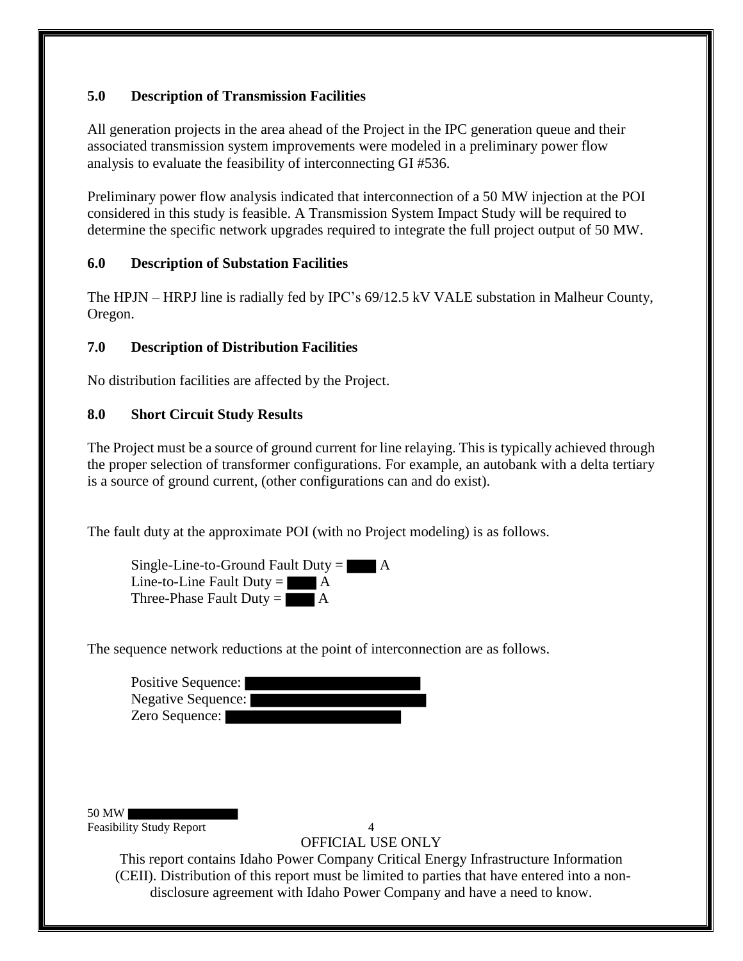## **5.0 Description of Transmission Facilities**

All generation projects in the area ahead of the Project in the IPC generation queue and their associated transmission system improvements were modeled in a preliminary power flow analysis to evaluate the feasibility of interconnecting GI #536.

Preliminary power flow analysis indicated that interconnection of a 50 MW injection at the POI considered in this study is feasible. A Transmission System Impact Study will be required to determine the specific network upgrades required to integrate the full project output of 50 MW.

## **6.0 Description of Substation Facilities**

The HPJN – HRPJ line is radially fed by IPC's 69/12.5 kV VALE substation in Malheur County, Oregon.

## **7.0 Description of Distribution Facilities**

No distribution facilities are affected by the Project.

## **8.0 Short Circuit Study Results**

The Project must be a source of ground current for line relaying. This is typically achieved through the proper selection of transformer configurations. For example, an autobank with a delta tertiary is a source of ground current, (other configurations can and do exist).

The fault duty at the approximate POI (with no Project modeling) is as follows.

Single-Line-to-Ground Fault Duty  $=$   $\blacksquare$  A Line-to-Line Fault Duty  $=$   $\blacksquare$  A Three-Phase Fault Duty  $=$   $\blacksquare$  A

The sequence network reductions at the point of interconnection are as follows.

| Positive Sequence:        |  |
|---------------------------|--|
| <b>Negative Sequence:</b> |  |
| Zero Sequence:            |  |

50 MW Feasibility Study Report 4

OFFICIAL USE ONLY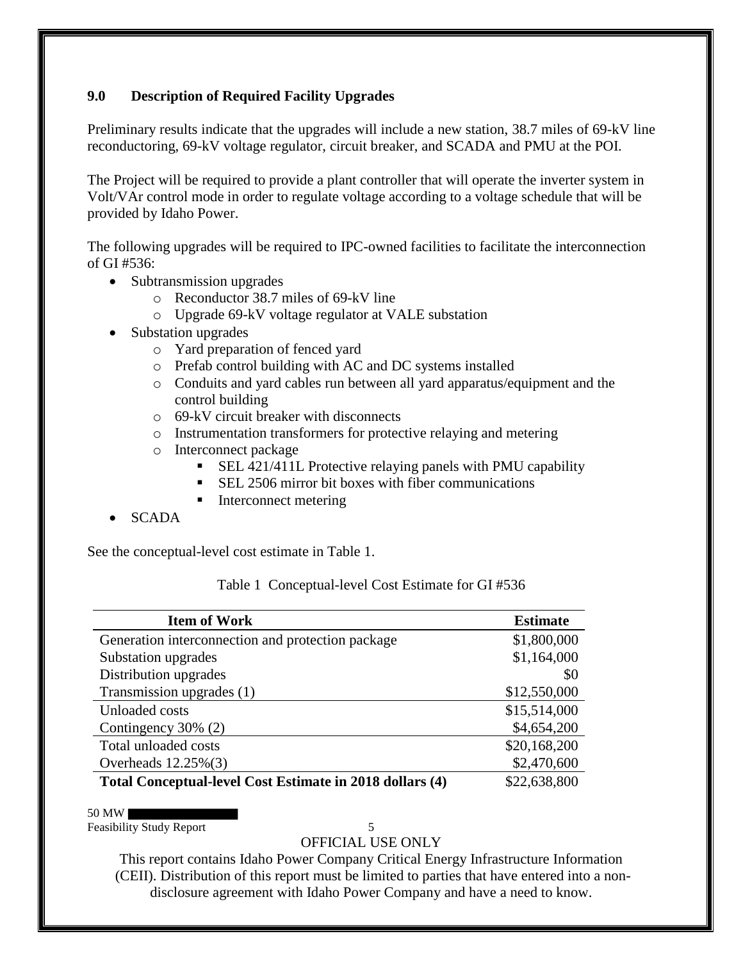## **9.0 Description of Required Facility Upgrades**

Preliminary results indicate that the upgrades will include a new station, 38.7 miles of 69-kV line reconductoring, 69-kV voltage regulator, circuit breaker, and SCADA and PMU at the POI.

The Project will be required to provide a plant controller that will operate the inverter system in Volt/VAr control mode in order to regulate voltage according to a voltage schedule that will be provided by Idaho Power.

The following upgrades will be required to IPC-owned facilities to facilitate the interconnection of GI #536:

- Subtransmission upgrades
	- o Reconductor 38.7 miles of 69-kV line
	- o Upgrade 69-kV voltage regulator at VALE substation
- Substation upgrades
	- o Yard preparation of fenced yard
	- o Prefab control building with AC and DC systems installed
	- o Conduits and yard cables run between all yard apparatus/equipment and the control building
	- $\circ$  69-kV circuit breaker with disconnects
	- o Instrumentation transformers for protective relaying and metering
	- o Interconnect package
		- SEL 421/411L Protective relaying panels with PMU capability
		- SEL 2506 mirror bit boxes with fiber communications
		- Interconnect metering
- SCADA

See the conceptual-level cost estimate in Table 1.

Table 1 Conceptual-level Cost Estimate for GI #536

| <b>Item of Work</b>                                      | <b>Estimate</b> |
|----------------------------------------------------------|-----------------|
| Generation interconnection and protection package        | \$1,800,000     |
| Substation upgrades                                      | \$1,164,000     |
| Distribution upgrades                                    | \$0             |
| Transmission upgrades (1)                                | \$12,550,000    |
| Unloaded costs                                           | \$15,514,000    |
| Contingency 30% (2)                                      | \$4,654,200     |
| Total unloaded costs                                     | \$20,168,200    |
| Overheads $12.25\%(3)$                                   | \$2,470,600     |
| Total Conceptual-level Cost Estimate in 2018 dollars (4) | \$22,638,800    |

50 MW

Feasibility Study Report 5

OFFICIAL USE ONLY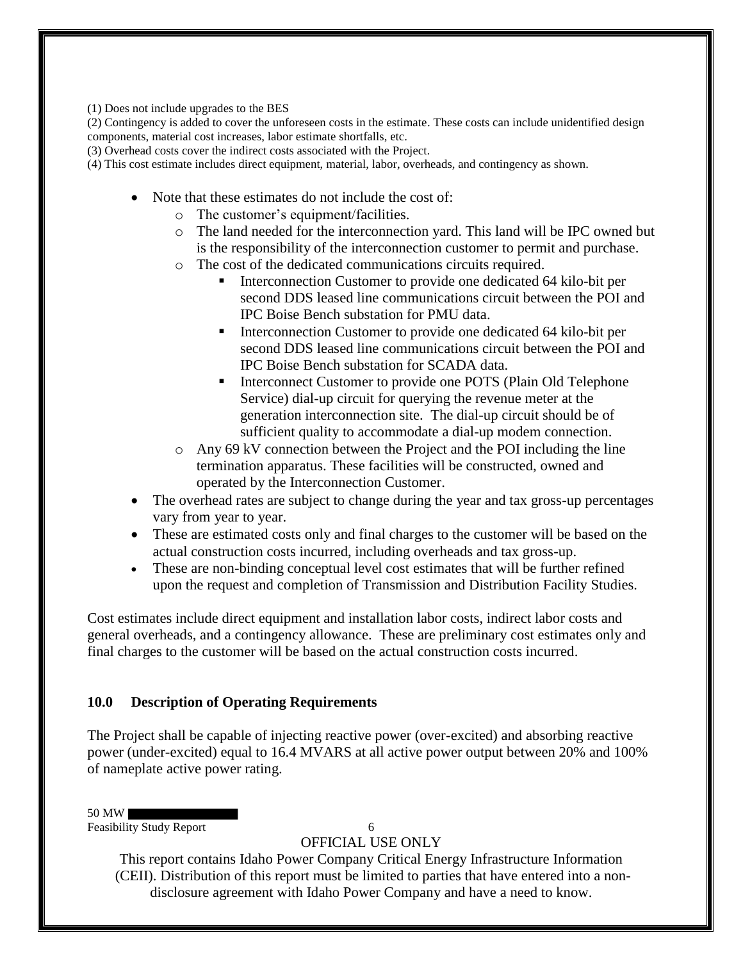(1) Does not include upgrades to the BES

(2) Contingency is added to cover the unforeseen costs in the estimate. These costs can include unidentified design components, material cost increases, labor estimate shortfalls, etc.

(3) Overhead costs cover the indirect costs associated with the Project.

(4) This cost estimate includes direct equipment, material, labor, overheads, and contingency as shown.

- Note that these estimates do not include the cost of:
	- o The customer's equipment/facilities.
	- o The land needed for the interconnection yard. This land will be IPC owned but is the responsibility of the interconnection customer to permit and purchase.
	- o The cost of the dedicated communications circuits required.
		- Interconnection Customer to provide one dedicated 64 kilo-bit per second DDS leased line communications circuit between the POI and IPC Boise Bench substation for PMU data.
		- Interconnection Customer to provide one dedicated 64 kilo-bit per second DDS leased line communications circuit between the POI and IPC Boise Bench substation for SCADA data.
		- Interconnect Customer to provide one POTS (Plain Old Telephone Service) dial-up circuit for querying the revenue meter at the generation interconnection site. The dial-up circuit should be of sufficient quality to accommodate a dial-up modem connection.
	- o Any 69 kV connection between the Project and the POI including the line termination apparatus. These facilities will be constructed, owned and operated by the Interconnection Customer.
- The overhead rates are subject to change during the year and tax gross-up percentages vary from year to year.
- These are estimated costs only and final charges to the customer will be based on the actual construction costs incurred, including overheads and tax gross-up.
- These are non-binding conceptual level cost estimates that will be further refined upon the request and completion of Transmission and Distribution Facility Studies.

Cost estimates include direct equipment and installation labor costs, indirect labor costs and general overheads, and a contingency allowance. These are preliminary cost estimates only and final charges to the customer will be based on the actual construction costs incurred.

#### **10.0 Description of Operating Requirements**

The Project shall be capable of injecting reactive power (over-excited) and absorbing reactive power (under-excited) equal to 16.4 MVARS at all active power output between 20% and 100% of nameplate active power rating.

50 MW

Feasibility Study Report 6

OFFICIAL USE ONLY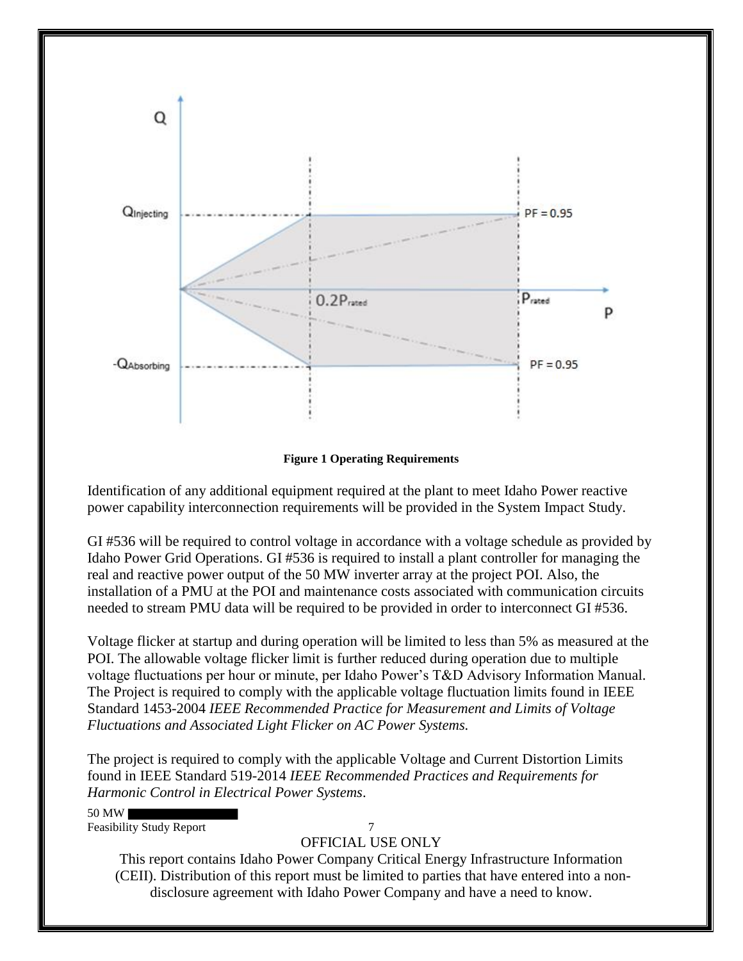

**Figure 1 Operating Requirements**

Identification of any additional equipment required at the plant to meet Idaho Power reactive power capability interconnection requirements will be provided in the System Impact Study.

GI #536 will be required to control voltage in accordance with a voltage schedule as provided by Idaho Power Grid Operations. GI #536 is required to install a plant controller for managing the real and reactive power output of the 50 MW inverter array at the project POI. Also, the installation of a PMU at the POI and maintenance costs associated with communication circuits needed to stream PMU data will be required to be provided in order to interconnect GI #536.

Voltage flicker at startup and during operation will be limited to less than 5% as measured at the POI. The allowable voltage flicker limit is further reduced during operation due to multiple voltage fluctuations per hour or minute, per Idaho Power's T&D Advisory Information Manual. The Project is required to comply with the applicable voltage fluctuation limits found in IEEE Standard 1453-2004 *IEEE Recommended Practice for Measurement and Limits of Voltage Fluctuations and Associated Light Flicker on AC Power Systems.* 

The project is required to comply with the applicable Voltage and Current Distortion Limits found in IEEE Standard 519-2014 *IEEE Recommended Practices and Requirements for Harmonic Control in Electrical Power Systems*.

50 MW

Feasibility Study Report 7

## OFFICIAL USE ONLY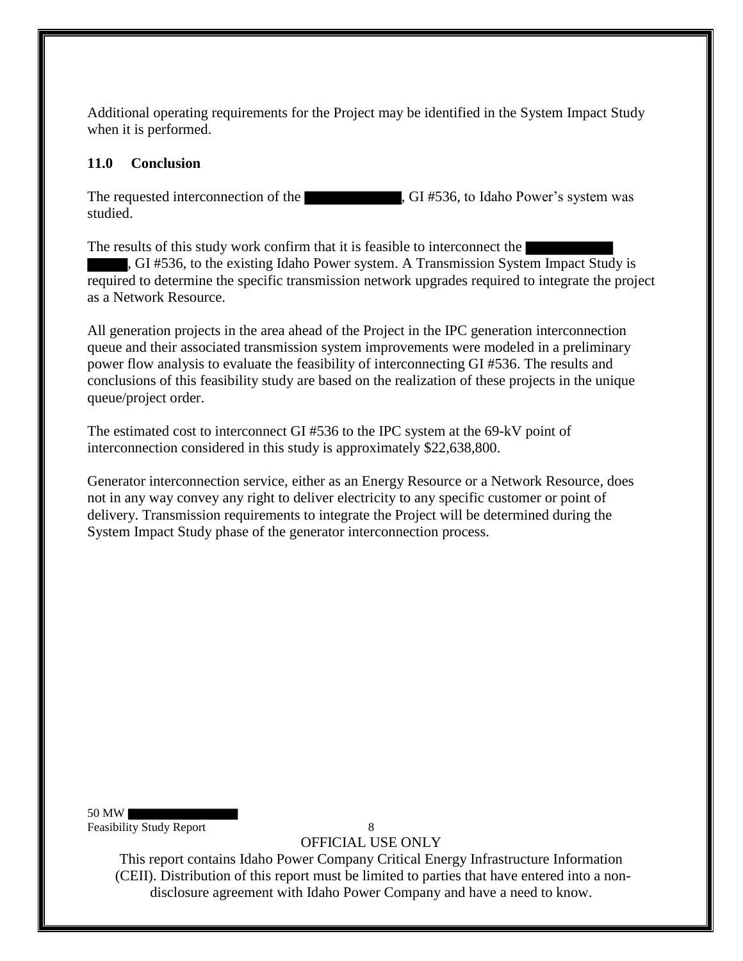Additional operating requirements for the Project may be identified in the System Impact Study when it is performed.

## **11.0 Conclusion**

The requested interconnection of the , GI #536, to Idaho Power's system was studied.

The results of this study work confirm that it is feasible to interconnect the

, GI #536, to the existing Idaho Power system. A Transmission System Impact Study is required to determine the specific transmission network upgrades required to integrate the project as a Network Resource.

All generation projects in the area ahead of the Project in the IPC generation interconnection queue and their associated transmission system improvements were modeled in a preliminary power flow analysis to evaluate the feasibility of interconnecting GI #536. The results and conclusions of this feasibility study are based on the realization of these projects in the unique queue/project order.

The estimated cost to interconnect GI #536 to the IPC system at the 69-kV point of interconnection considered in this study is approximately \$22,638,800.

Generator interconnection service, either as an Energy Resource or a Network Resource, does not in any way convey any right to deliver electricity to any specific customer or point of delivery. Transmission requirements to integrate the Project will be determined during the System Impact Study phase of the generator interconnection process.

50 MW Feasibility Study Report 8

OFFICIAL USE ONLY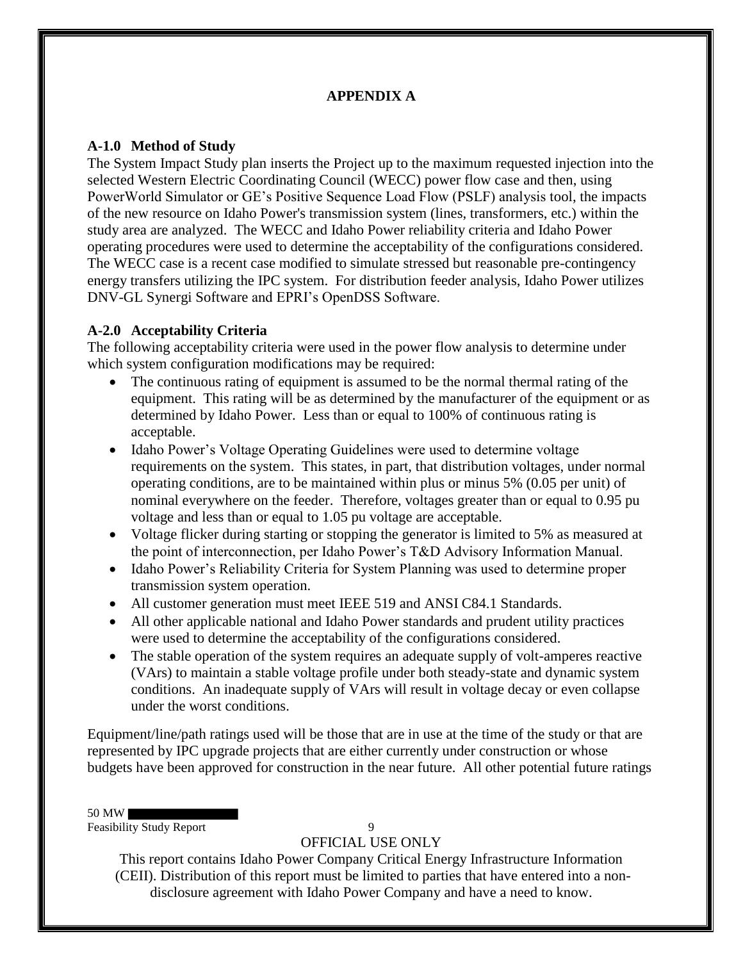## **APPENDIX A**

## **A-1.0 Method of Study**

The System Impact Study plan inserts the Project up to the maximum requested injection into the selected Western Electric Coordinating Council (WECC) power flow case and then, using PowerWorld Simulator or GE's Positive Sequence Load Flow (PSLF) analysis tool, the impacts of the new resource on Idaho Power's transmission system (lines, transformers, etc.) within the study area are analyzed. The WECC and Idaho Power reliability criteria and Idaho Power operating procedures were used to determine the acceptability of the configurations considered. The WECC case is a recent case modified to simulate stressed but reasonable pre-contingency energy transfers utilizing the IPC system. For distribution feeder analysis, Idaho Power utilizes DNV-GL Synergi Software and EPRI's OpenDSS Software.

#### **A-2.0 Acceptability Criteria**

The following acceptability criteria were used in the power flow analysis to determine under which system configuration modifications may be required:

- The continuous rating of equipment is assumed to be the normal thermal rating of the equipment. This rating will be as determined by the manufacturer of the equipment or as determined by Idaho Power. Less than or equal to 100% of continuous rating is acceptable.
- Idaho Power's Voltage Operating Guidelines were used to determine voltage requirements on the system. This states, in part, that distribution voltages, under normal operating conditions, are to be maintained within plus or minus 5% (0.05 per unit) of nominal everywhere on the feeder. Therefore, voltages greater than or equal to 0.95 pu voltage and less than or equal to 1.05 pu voltage are acceptable.
- Voltage flicker during starting or stopping the generator is limited to 5% as measured at the point of interconnection, per Idaho Power's T&D Advisory Information Manual.
- Idaho Power's Reliability Criteria for System Planning was used to determine proper transmission system operation.
- All customer generation must meet IEEE 519 and ANSI C84.1 Standards.
- All other applicable national and Idaho Power standards and prudent utility practices were used to determine the acceptability of the configurations considered.
- The stable operation of the system requires an adequate supply of volt-amperes reactive (VArs) to maintain a stable voltage profile under both steady-state and dynamic system conditions. An inadequate supply of VArs will result in voltage decay or even collapse under the worst conditions.

Equipment/line/path ratings used will be those that are in use at the time of the study or that are represented by IPC upgrade projects that are either currently under construction or whose budgets have been approved for construction in the near future. All other potential future ratings

50 MW

Feasibility Study Report 9

OFFICIAL USE ONLY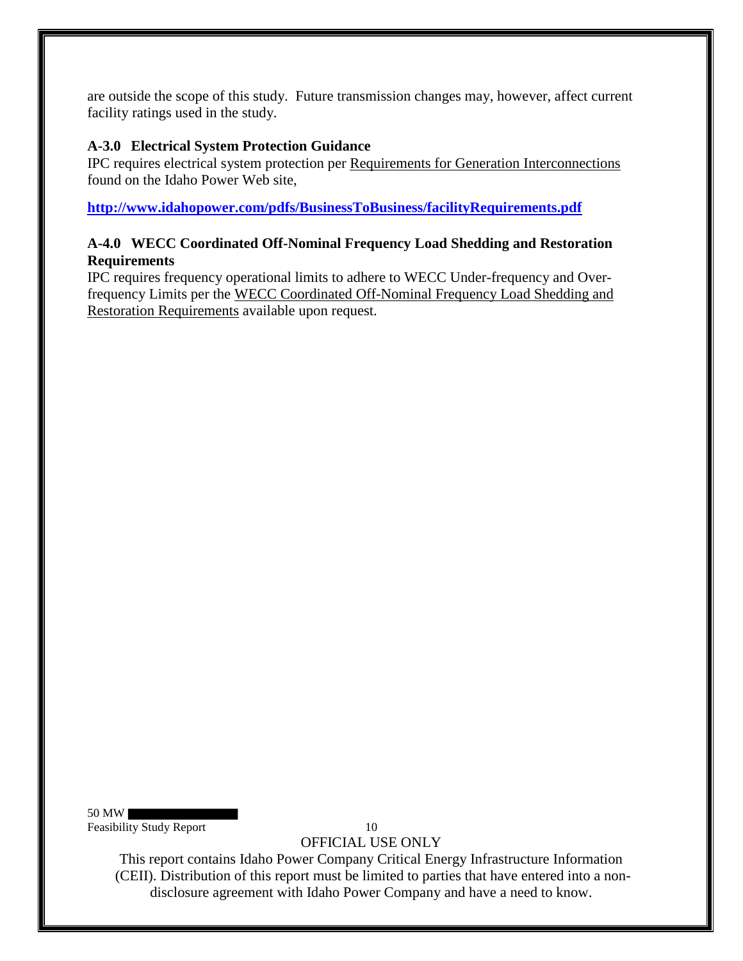are outside the scope of this study. Future transmission changes may, however, affect current facility ratings used in the study.

## **A-3.0 Electrical System Protection Guidance**

IPC requires electrical system protection per Requirements for Generation Interconnections found on the Idaho Power Web site,

**http://www.idahopower.com/pdfs/BusinessToBusiness/facilityRequirements.pdf**

## **A-4.0 WECC Coordinated Off-Nominal Frequency Load Shedding and Restoration Requirements**

IPC requires frequency operational limits to adhere to WECC Under-frequency and Overfrequency Limits per the WECC Coordinated Off-Nominal Frequency Load Shedding and Restoration Requirements available upon request.

50 MW Feasibility Study Report 10

OFFICIAL USE ONLY